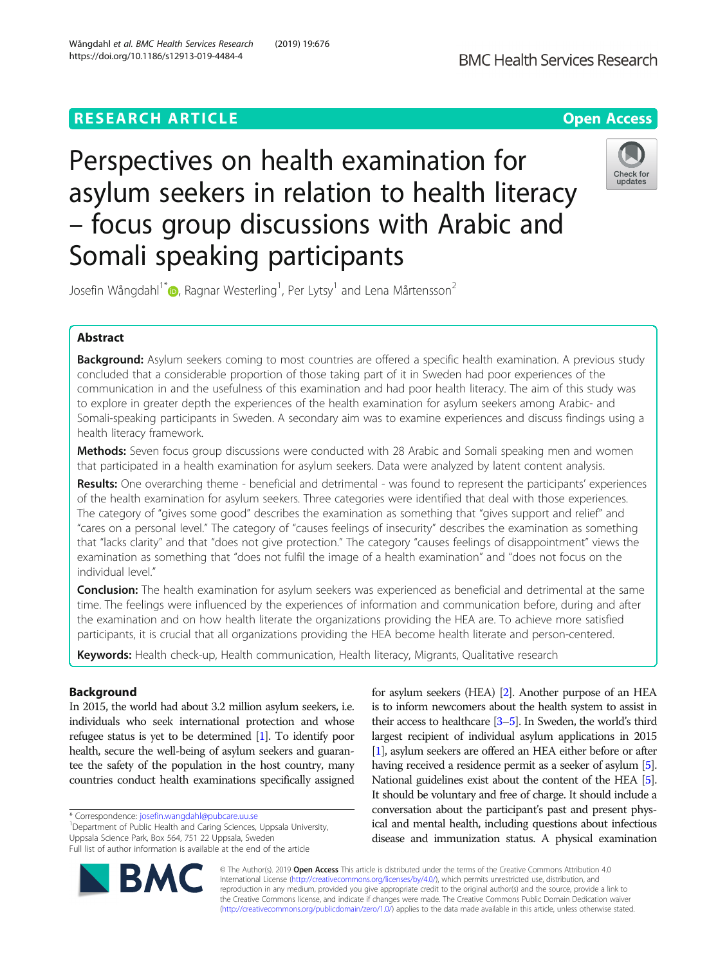## **RESEARCH ARTICLE Example 2014 12:30 The Contract of Contract ACCESS**



# Perspectives on health examination for asylum seekers in relation to health literacy – focus group discussions with Arabic and Somali speaking participants



Josefin Wångdahl<sup>1[\\*](http://orcid.org/0000-0002-4743-8259)</sup> $\bm{\circ}$ , Ragnar Westerling<sup>1</sup>, Per Lytsy<sup>1</sup> and Lena Mårtensson<sup>2</sup>

## Abstract

Background: Asylum seekers coming to most countries are offered a specific health examination. A previous study concluded that a considerable proportion of those taking part of it in Sweden had poor experiences of the communication in and the usefulness of this examination and had poor health literacy. The aim of this study was to explore in greater depth the experiences of the health examination for asylum seekers among Arabic- and Somali-speaking participants in Sweden. A secondary aim was to examine experiences and discuss findings using a health literacy framework.

Methods: Seven focus group discussions were conducted with 28 Arabic and Somali speaking men and women that participated in a health examination for asylum seekers. Data were analyzed by latent content analysis.

Results: One overarching theme - beneficial and detrimental - was found to represent the participants' experiences of the health examination for asylum seekers. Three categories were identified that deal with those experiences. The category of "gives some good" describes the examination as something that "gives support and relief" and "cares on a personal level." The category of "causes feelings of insecurity" describes the examination as something that "lacks clarity" and that "does not give protection." The category "causes feelings of disappointment" views the examination as something that "does not fulfil the image of a health examination" and "does not focus on the individual level."

Conclusion: The health examination for asylum seekers was experienced as beneficial and detrimental at the same time. The feelings were influenced by the experiences of information and communication before, during and after the examination and on how health literate the organizations providing the HEA are. To achieve more satisfied participants, it is crucial that all organizations providing the HEA become health literate and person-centered.

Keywords: Health check-up, Health communication, Health literacy, Migrants, Qualitative research

## Background

In 2015, the world had about 3.2 million asylum seekers, i.e. individuals who seek international protection and whose refugee status is yet to be determined [\[1](#page-10-0)]. To identify poor health, secure the well-being of asylum seekers and guarantee the safety of the population in the host country, many countries conduct health examinations specifically assigned

\* Correspondence: [josefin.wangdahl@pubcare.uu.se](mailto:josefin.wangdahl@pubcare.uu.se) <sup>1</sup>

<sup>1</sup>Department of Public Health and Caring Sciences, Uppsala University, Uppsala Science Park, Box 564, 751 22 Uppsala, Sweden Full list of author information is available at the end of the article



for asylum seekers (HEA) [\[2\]](#page-10-0). Another purpose of an HEA is to inform newcomers about the health system to assist in their access to healthcare [\[3](#page-10-0)–[5](#page-10-0)]. In Sweden, the world's third largest recipient of individual asylum applications in 2015 [[1](#page-10-0)], asylum seekers are offered an HEA either before or after having received a residence permit as a seeker of asylum [\[5](#page-10-0)]. National guidelines exist about the content of the HEA [\[5\]](#page-10-0). It should be voluntary and free of charge. It should include a conversation about the participant's past and present physical and mental health, including questions about infectious disease and immunization status. A physical examination

© The Author(s). 2019 Open Access This article is distributed under the terms of the Creative Commons Attribution 4.0 International License [\(http://creativecommons.org/licenses/by/4.0/](http://creativecommons.org/licenses/by/4.0/)), which permits unrestricted use, distribution, and reproduction in any medium, provided you give appropriate credit to the original author(s) and the source, provide a link to the Creative Commons license, and indicate if changes were made. The Creative Commons Public Domain Dedication waiver [\(http://creativecommons.org/publicdomain/zero/1.0/](http://creativecommons.org/publicdomain/zero/1.0/)) applies to the data made available in this article, unless otherwise stated.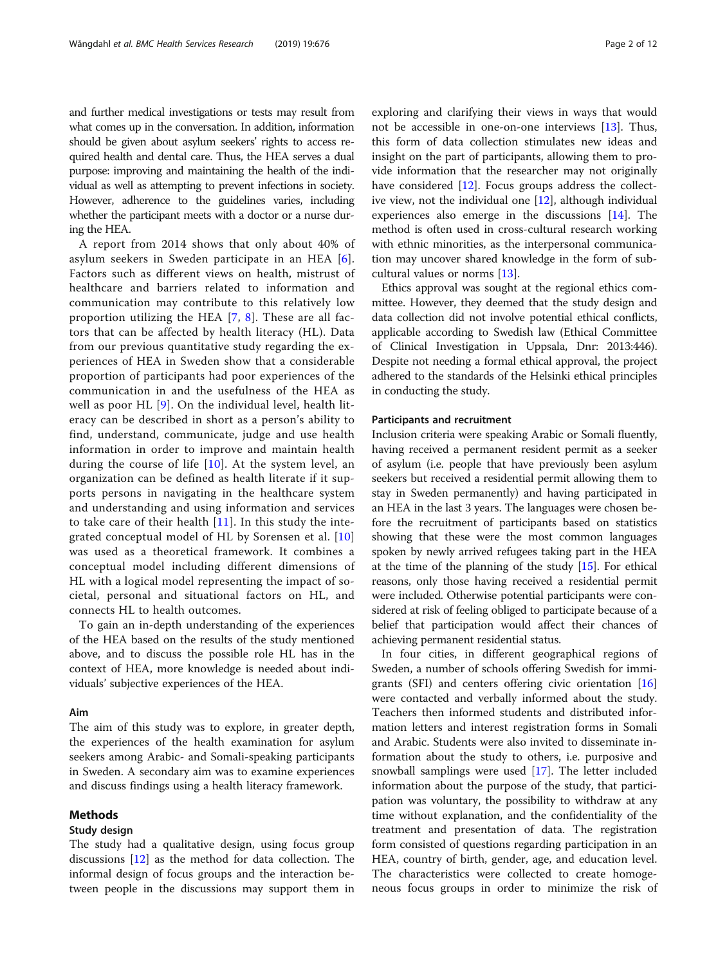and further medical investigations or tests may result from what comes up in the conversation. In addition, information should be given about asylum seekers' rights to access required health and dental care. Thus, the HEA serves a dual purpose: improving and maintaining the health of the individual as well as attempting to prevent infections in society. However, adherence to the guidelines varies, including whether the participant meets with a doctor or a nurse during the HEA.

A report from 2014 shows that only about 40% of asylum seekers in Sweden participate in an HEA [[6](#page-10-0)]. Factors such as different views on health, mistrust of healthcare and barriers related to information and communication may contribute to this relatively low proportion utilizing the HEA [[7,](#page-10-0) [8\]](#page-10-0). These are all factors that can be affected by health literacy (HL). Data from our previous quantitative study regarding the experiences of HEA in Sweden show that a considerable proportion of participants had poor experiences of the communication in and the usefulness of the HEA as well as poor HL [[9\]](#page-10-0). On the individual level, health literacy can be described in short as a person's ability to find, understand, communicate, judge and use health information in order to improve and maintain health during the course of life [\[10\]](#page-10-0). At the system level, an organization can be defined as health literate if it supports persons in navigating in the healthcare system and understanding and using information and services to take care of their health [[11](#page-10-0)]. In this study the integrated conceptual model of HL by Sorensen et al. [\[10](#page-10-0)] was used as a theoretical framework. It combines a conceptual model including different dimensions of HL with a logical model representing the impact of societal, personal and situational factors on HL, and connects HL to health outcomes.

To gain an in-depth understanding of the experiences of the HEA based on the results of the study mentioned above, and to discuss the possible role HL has in the context of HEA, more knowledge is needed about individuals' subjective experiences of the HEA.

## Aim

The aim of this study was to explore, in greater depth, the experiences of the health examination for asylum seekers among Arabic- and Somali-speaking participants in Sweden. A secondary aim was to examine experiences and discuss findings using a health literacy framework.

## Methods

## Study design

The study had a qualitative design, using focus group discussions [[12](#page-10-0)] as the method for data collection. The informal design of focus groups and the interaction between people in the discussions may support them in exploring and clarifying their views in ways that would not be accessible in one-on-one interviews [[13](#page-10-0)]. Thus, this form of data collection stimulates new ideas and insight on the part of participants, allowing them to provide information that the researcher may not originally have considered [[12](#page-10-0)]. Focus groups address the collective view, not the individual one [[12\]](#page-10-0), although individual experiences also emerge in the discussions [[14](#page-10-0)]. The method is often used in cross-cultural research working with ethnic minorities, as the interpersonal communication may uncover shared knowledge in the form of subcultural values or norms [[13\]](#page-10-0).

Ethics approval was sought at the regional ethics committee. However, they deemed that the study design and data collection did not involve potential ethical conflicts, applicable according to Swedish law (Ethical Committee of Clinical Investigation in Uppsala, Dnr: 2013:446). Despite not needing a formal ethical approval, the project adhered to the standards of the Helsinki ethical principles in conducting the study.

## Participants and recruitment

Inclusion criteria were speaking Arabic or Somali fluently, having received a permanent resident permit as a seeker of asylum (i.e. people that have previously been asylum seekers but received a residential permit allowing them to stay in Sweden permanently) and having participated in an HEA in the last 3 years. The languages were chosen before the recruitment of participants based on statistics showing that these were the most common languages spoken by newly arrived refugees taking part in the HEA at the time of the planning of the study [\[15](#page-10-0)]. For ethical reasons, only those having received a residential permit were included. Otherwise potential participants were considered at risk of feeling obliged to participate because of a belief that participation would affect their chances of achieving permanent residential status.

In four cities, in different geographical regions of Sweden, a number of schools offering Swedish for immigrants (SFI) and centers offering civic orientation [[16](#page-10-0)] were contacted and verbally informed about the study. Teachers then informed students and distributed information letters and interest registration forms in Somali and Arabic. Students were also invited to disseminate information about the study to others, i.e. purposive and snowball samplings were used [[17](#page-10-0)]. The letter included information about the purpose of the study, that participation was voluntary, the possibility to withdraw at any time without explanation, and the confidentiality of the treatment and presentation of data. The registration form consisted of questions regarding participation in an HEA, country of birth, gender, age, and education level. The characteristics were collected to create homogeneous focus groups in order to minimize the risk of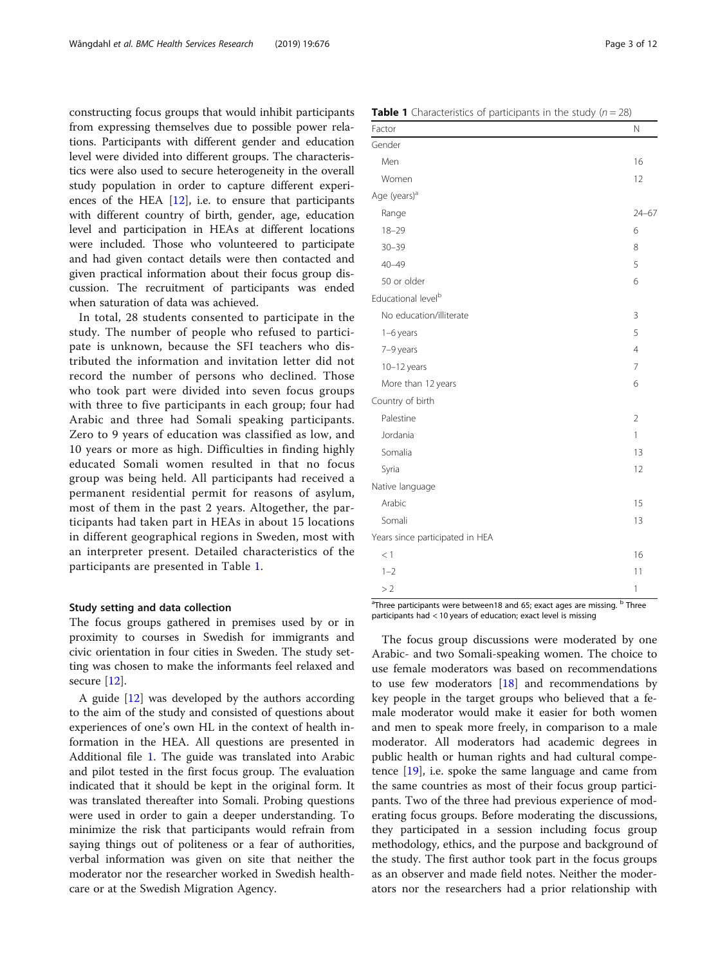constructing focus groups that would inhibit participants from expressing themselves due to possible power relations. Participants with different gender and education level were divided into different groups. The characteristics were also used to secure heterogeneity in the overall study population in order to capture different experiences of the HEA  $[12]$  $[12]$ , i.e. to ensure that participants with different country of birth, gender, age, education level and participation in HEAs at different locations were included. Those who volunteered to participate and had given contact details were then contacted and given practical information about their focus group discussion. The recruitment of participants was ended when saturation of data was achieved.

In total, 28 students consented to participate in the study. The number of people who refused to participate is unknown, because the SFI teachers who distributed the information and invitation letter did not record the number of persons who declined. Those who took part were divided into seven focus groups with three to five participants in each group; four had Arabic and three had Somali speaking participants. Zero to 9 years of education was classified as low, and 10 years or more as high. Difficulties in finding highly educated Somali women resulted in that no focus group was being held. All participants had received a permanent residential permit for reasons of asylum, most of them in the past 2 years. Altogether, the participants had taken part in HEAs in about 15 locations in different geographical regions in Sweden, most with an interpreter present. Detailed characteristics of the participants are presented in Table 1.

## Study setting and data collection

The focus groups gathered in premises used by or in proximity to courses in Swedish for immigrants and civic orientation in four cities in Sweden. The study setting was chosen to make the informants feel relaxed and secure [[12\]](#page-10-0).

A guide [[12\]](#page-10-0) was developed by the authors according to the aim of the study and consisted of questions about experiences of one's own HL in the context of health information in the HEA. All questions are presented in Additional file [1.](#page-10-0) The guide was translated into Arabic and pilot tested in the first focus group. The evaluation indicated that it should be kept in the original form. It was translated thereafter into Somali. Probing questions were used in order to gain a deeper understanding. To minimize the risk that participants would refrain from saying things out of politeness or a fear of authorities, verbal information was given on site that neither the moderator nor the researcher worked in Swedish healthcare or at the Swedish Migration Agency.

**Table 1** Characteristics of participants in the study ( $n = 28$ )

| Factor                          | $\mathsf{N}$   |
|---------------------------------|----------------|
| Gender                          |                |
| Men                             | 16             |
| Women                           | 12             |
| Age (years) <sup>a</sup>        |                |
| Range                           | $24 - 67$      |
| $18 - 29$                       | 6              |
| $30 - 39$                       | 8              |
| $40 - 49$                       | 5              |
| 50 or older                     | 6              |
| Educational level <sup>b</sup>  |                |
| No education/illiterate         | 3              |
| $1-6$ years                     | 5              |
| 7-9 years                       | $\overline{4}$ |
| $10-12$ years                   | $\overline{7}$ |
| More than 12 years              | 6              |
| Country of birth                |                |
| Palestine                       | $\overline{2}$ |
| Jordania                        | 1              |
| Somalia                         | 13             |
| Syria                           | 12             |
| Native language                 |                |
| Arabic                          | 15             |
| Somali                          | 13             |
| Years since participated in HEA |                |
| < 1                             | 16             |
| $1 - 2$                         | 11             |
| >2                              | 1              |

<sup>a</sup>Three participants were between18 and 65; exact ages are missing. <sup>b</sup> Three participants had < 10 years of education; exact level is missing

The focus group discussions were moderated by one Arabic- and two Somali-speaking women. The choice to use female moderators was based on recommendations to use few moderators [[18\]](#page-11-0) and recommendations by key people in the target groups who believed that a female moderator would make it easier for both women and men to speak more freely, in comparison to a male moderator. All moderators had academic degrees in public health or human rights and had cultural competence [\[19](#page-11-0)], i.e. spoke the same language and came from the same countries as most of their focus group participants. Two of the three had previous experience of moderating focus groups. Before moderating the discussions, they participated in a session including focus group methodology, ethics, and the purpose and background of the study. The first author took part in the focus groups as an observer and made field notes. Neither the moderators nor the researchers had a prior relationship with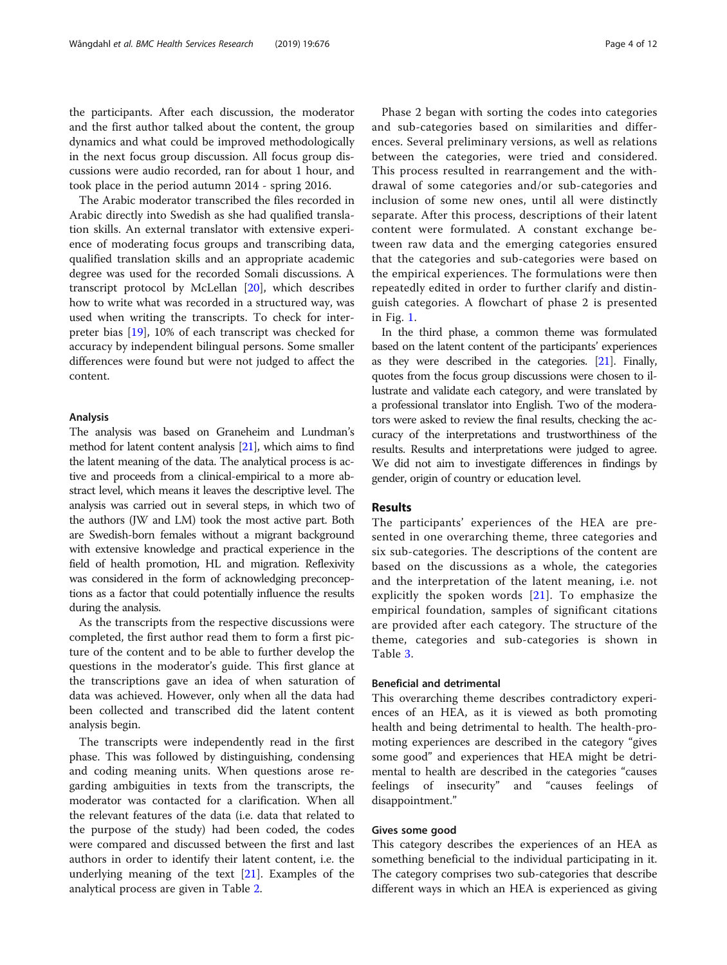the participants. After each discussion, the moderator and the first author talked about the content, the group dynamics and what could be improved methodologically in the next focus group discussion. All focus group discussions were audio recorded, ran for about 1 hour, and took place in the period autumn 2014 - spring 2016.

The Arabic moderator transcribed the files recorded in Arabic directly into Swedish as she had qualified translation skills. An external translator with extensive experience of moderating focus groups and transcribing data, qualified translation skills and an appropriate academic degree was used for the recorded Somali discussions. A transcript protocol by McLellan [[20\]](#page-11-0), which describes how to write what was recorded in a structured way, was used when writing the transcripts. To check for interpreter bias [[19](#page-11-0)], 10% of each transcript was checked for accuracy by independent bilingual persons. Some smaller differences were found but were not judged to affect the content.

## Analysis

The analysis was based on Graneheim and Lundman's method for latent content analysis [\[21\]](#page-11-0), which aims to find the latent meaning of the data. The analytical process is active and proceeds from a clinical-empirical to a more abstract level, which means it leaves the descriptive level. The analysis was carried out in several steps, in which two of the authors (JW and LM) took the most active part. Both are Swedish-born females without a migrant background with extensive knowledge and practical experience in the field of health promotion, HL and migration. Reflexivity was considered in the form of acknowledging preconceptions as a factor that could potentially influence the results during the analysis.

As the transcripts from the respective discussions were completed, the first author read them to form a first picture of the content and to be able to further develop the questions in the moderator's guide. This first glance at the transcriptions gave an idea of when saturation of data was achieved. However, only when all the data had been collected and transcribed did the latent content analysis begin.

The transcripts were independently read in the first phase. This was followed by distinguishing, condensing and coding meaning units. When questions arose regarding ambiguities in texts from the transcripts, the moderator was contacted for a clarification. When all the relevant features of the data (i.e. data that related to the purpose of the study) had been coded, the codes were compared and discussed between the first and last authors in order to identify their latent content, i.e. the underlying meaning of the text  $[21]$  $[21]$ . Examples of the analytical process are given in Table [2.](#page-4-0)

Phase 2 began with sorting the codes into categories and sub-categories based on similarities and differences. Several preliminary versions, as well as relations between the categories, were tried and considered. This process resulted in rearrangement and the withdrawal of some categories and/or sub-categories and inclusion of some new ones, until all were distinctly separate. After this process, descriptions of their latent content were formulated. A constant exchange between raw data and the emerging categories ensured that the categories and sub-categories were based on the empirical experiences. The formulations were then repeatedly edited in order to further clarify and distinguish categories. A flowchart of phase 2 is presented in Fig. [1](#page-4-0).

In the third phase, a common theme was formulated based on the latent content of the participants' experiences as they were described in the categories. [\[21\]](#page-11-0). Finally, quotes from the focus group discussions were chosen to illustrate and validate each category, and were translated by a professional translator into English. Two of the moderators were asked to review the final results, checking the accuracy of the interpretations and trustworthiness of the results. Results and interpretations were judged to agree. We did not aim to investigate differences in findings by gender, origin of country or education level.

## Results

The participants' experiences of the HEA are presented in one overarching theme, three categories and six sub-categories. The descriptions of the content are based on the discussions as a whole, the categories and the interpretation of the latent meaning, i.e. not explicitly the spoken words [[21](#page-11-0)]. To emphasize the empirical foundation, samples of significant citations are provided after each category. The structure of the theme, categories and sub-categories is shown in Table [3.](#page-5-0)

## Beneficial and detrimental

This overarching theme describes contradictory experiences of an HEA, as it is viewed as both promoting health and being detrimental to health. The health-promoting experiences are described in the category "gives some good" and experiences that HEA might be detrimental to health are described in the categories "causes feelings of insecurity" and "causes feelings of disappointment."

## Gives some good

This category describes the experiences of an HEA as something beneficial to the individual participating in it. The category comprises two sub-categories that describe different ways in which an HEA is experienced as giving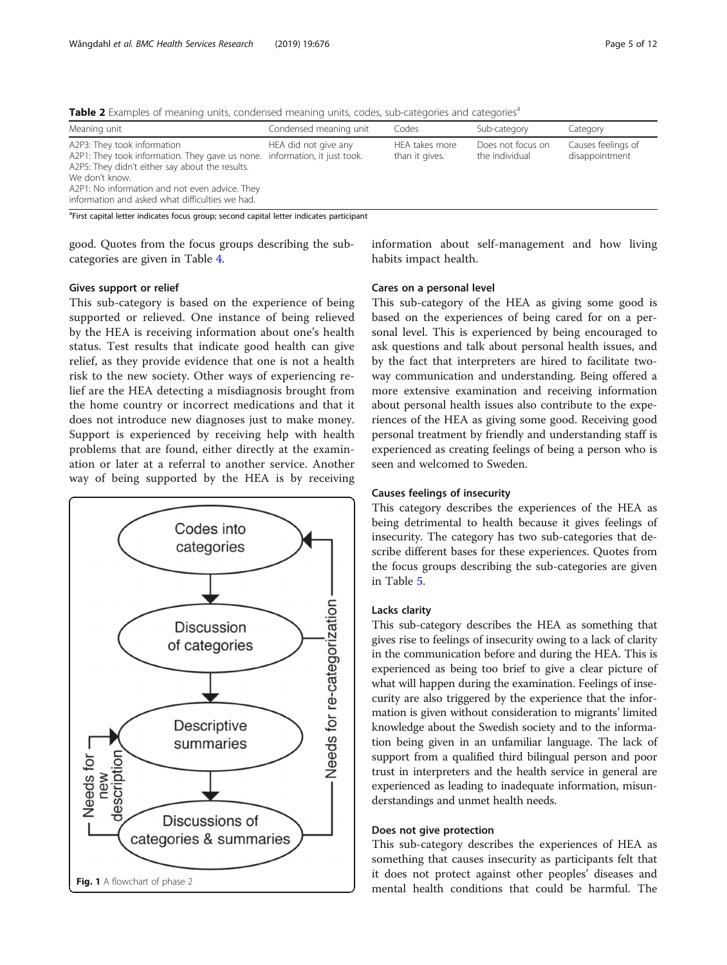Meaning unit Condensed meaning unit Codes Sub-category Category A2P3: They took information A2P1: They took information. They gave us none. information, it just took. A2P5: They didn't either say about the results. We don't know. A2P1: No information and not even advice. They information and asked what difficulties we had. HEA did not give any HEA takes more than it gives. Does not focus on the individual Causes feelings of disappointment

<span id="page-4-0"></span>Table 2 Examples of meaning units, condensed meaning units, codes, sub-categories and categories<sup>a</sup>

<sup>a</sup>First capital letter indicates focus group; second capital letter indicates participant

good. Quotes from the focus groups describing the subcategories are given in Table [4.](#page-5-0)

information about self-management and how living habits impact health.

## Gives support or relief

This sub-category is based on the experience of being supported or relieved. One instance of being relieved by the HEA is receiving information about one's health status. Test results that indicate good health can give relief, as they provide evidence that one is not a health risk to the new society. Other ways of experiencing relief are the HEA detecting a misdiagnosis brought from the home country or incorrect medications and that it does not introduce new diagnoses just to make money. Support is experienced by receiving help with health problems that are found, either directly at the examination or later at a referral to another service. Another way of being supported by the HEA is by receiving



## Cares on a personal level

This sub-category of the HEA as giving some good is based on the experiences of being cared for on a personal level. This is experienced by being encouraged to ask questions and talk about personal health issues, and by the fact that interpreters are hired to facilitate twoway communication and understanding. Being offered a more extensive examination and receiving information about personal health issues also contribute to the experiences of the HEA as giving some good. Receiving good personal treatment by friendly and understanding staff is experienced as creating feelings of being a person who is seen and welcomed to Sweden.

## Causes feelings of insecurity

This category describes the experiences of the HEA as being detrimental to health because it gives feelings of insecurity. The category has two sub-categories that describe different bases for these experiences. Quotes from the focus groups describing the sub-categories are given in Table [5.](#page-6-0)

## Lacks clarity

This sub-category describes the HEA as something that gives rise to feelings of insecurity owing to a lack of clarity in the communication before and during the HEA. This is experienced as being too brief to give a clear picture of what will happen during the examination. Feelings of insecurity are also triggered by the experience that the information is given without consideration to migrants' limited knowledge about the Swedish society and to the information being given in an unfamiliar language. The lack of support from a qualified third bilingual person and poor trust in interpreters and the health service in general are experienced as leading to inadequate information, misunderstandings and unmet health needs.

## Does not give protection

This sub-category describes the experiences of HEA as something that causes insecurity as participants felt that it does not protect against other peoples' diseases and mental health conditions that could be harmful. The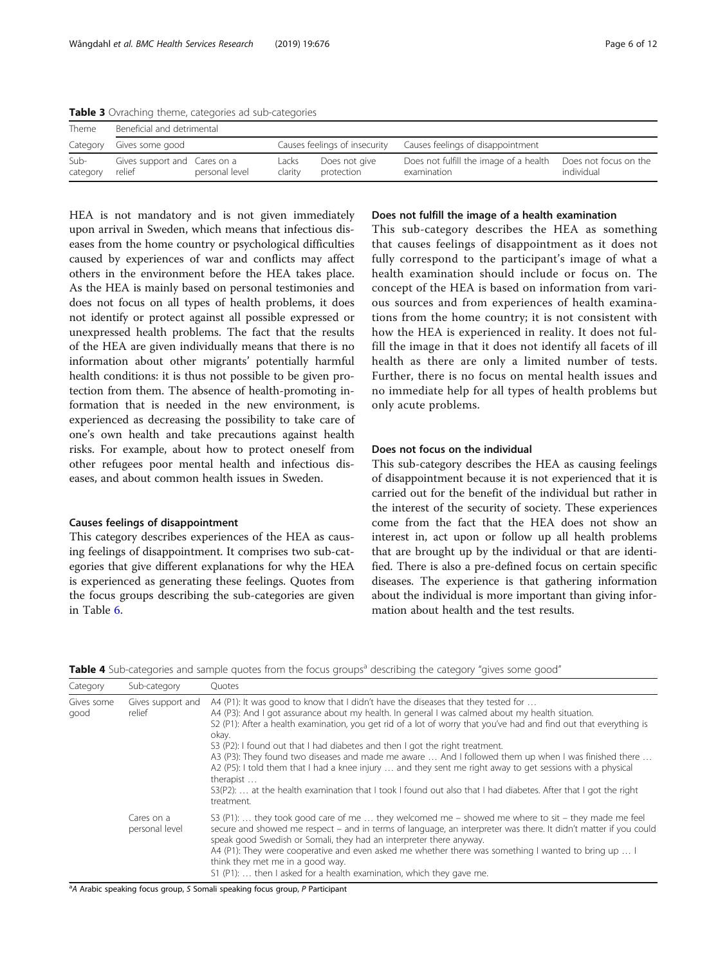| Theme            | Beneficial and detrimental             |                |                  |                               |                                                       |                                     |
|------------------|----------------------------------------|----------------|------------------|-------------------------------|-------------------------------------------------------|-------------------------------------|
| Category         | Gives some good                        |                |                  | Causes feelings of insecurity | Causes feelings of disappointment                     |                                     |
| Sub-<br>category | Gives support and Cares on a<br>relief | personal level | Lacks<br>clarity | Does not give<br>protection   | Does not fulfill the image of a health<br>examination | Does not focus on the<br>individual |

<span id="page-5-0"></span>Table 3 Ovraching theme, categories ad sub-categories

HEA is not mandatory and is not given immediately upon arrival in Sweden, which means that infectious diseases from the home country or psychological difficulties caused by experiences of war and conflicts may affect others in the environment before the HEA takes place. As the HEA is mainly based on personal testimonies and does not focus on all types of health problems, it does not identify or protect against all possible expressed or unexpressed health problems. The fact that the results of the HEA are given individually means that there is no information about other migrants' potentially harmful health conditions: it is thus not possible to be given protection from them. The absence of health-promoting information that is needed in the new environment, is experienced as decreasing the possibility to take care of one's own health and take precautions against health risks. For example, about how to protect oneself from other refugees poor mental health and infectious diseases, and about common health issues in Sweden.

## Causes feelings of disappointment

This category describes experiences of the HEA as causing feelings of disappointment. It comprises two sub-categories that give different explanations for why the HEA is experienced as generating these feelings. Quotes from the focus groups describing the sub-categories are given in Table [6](#page-7-0).

## Does not fulfill the image of a health examination

This sub-category describes the HEA as something that causes feelings of disappointment as it does not fully correspond to the participant's image of what a health examination should include or focus on. The concept of the HEA is based on information from various sources and from experiences of health examinations from the home country; it is not consistent with how the HEA is experienced in reality. It does not fulfill the image in that it does not identify all facets of ill health as there are only a limited number of tests. Further, there is no focus on mental health issues and no immediate help for all types of health problems but only acute problems.

## Does not focus on the individual

This sub-category describes the HEA as causing feelings of disappointment because it is not experienced that it is carried out for the benefit of the individual but rather in the interest of the security of society. These experiences come from the fact that the HEA does not show an interest in, act upon or follow up all health problems that are brought up by the individual or that are identified. There is also a pre-defined focus on certain specific diseases. The experience is that gathering information about the individual is more important than giving information about health and the test results.

Table 4 Sub-categories and sample quotes from the focus groups<sup>a</sup> describing the category "gives some good"

| Category           | Sub-category                 | Ouotes                                                                                                                                                                                                                                                                                                                                                                                                                                                                                                                                                                                                                                                                                                                                                                   |
|--------------------|------------------------------|--------------------------------------------------------------------------------------------------------------------------------------------------------------------------------------------------------------------------------------------------------------------------------------------------------------------------------------------------------------------------------------------------------------------------------------------------------------------------------------------------------------------------------------------------------------------------------------------------------------------------------------------------------------------------------------------------------------------------------------------------------------------------|
| Gives some<br>good | Gives support and<br>relief  | A4 (P1): It was good to know that I didn't have the diseases that they tested for<br>A4 (P3): And I got assurance about my health. In general I was calmed about my health situation.<br>S2 (P1): After a health examination, you get rid of a lot of worry that you've had and find out that everything is<br>okay.<br>S3 (P2): I found out that I had diabetes and then I got the right treatment.<br>A3 (P3): They found two diseases and made me aware  And I followed them up when I was finished there<br>A2 (P5): I told them that I had a knee injury  and they sent me right away to get sessions with a physical<br>therapist<br>S3(P2):  at the health examination that I took I found out also that I had diabetes. After that I got the right<br>treatment. |
|                    | Cares on a<br>personal level | S3 (P1):  they took good care of me  they welcomed me – showed me where to sit – they made me feel<br>secure and showed me respect – and in terms of language, an interpreter was there. It didn't matter if you could<br>speak good Swedish or Somali, they had an interpreter there anyway.<br>A4 (P1): They were cooperative and even asked me whether there was something I wanted to bring up  I<br>think they met me in a good way.<br>S1 (P1):  then I asked for a health examination, which they gave me.                                                                                                                                                                                                                                                        |

<sup>a</sup>A Arabic speaking focus group, S Somali speaking focus group, P Participant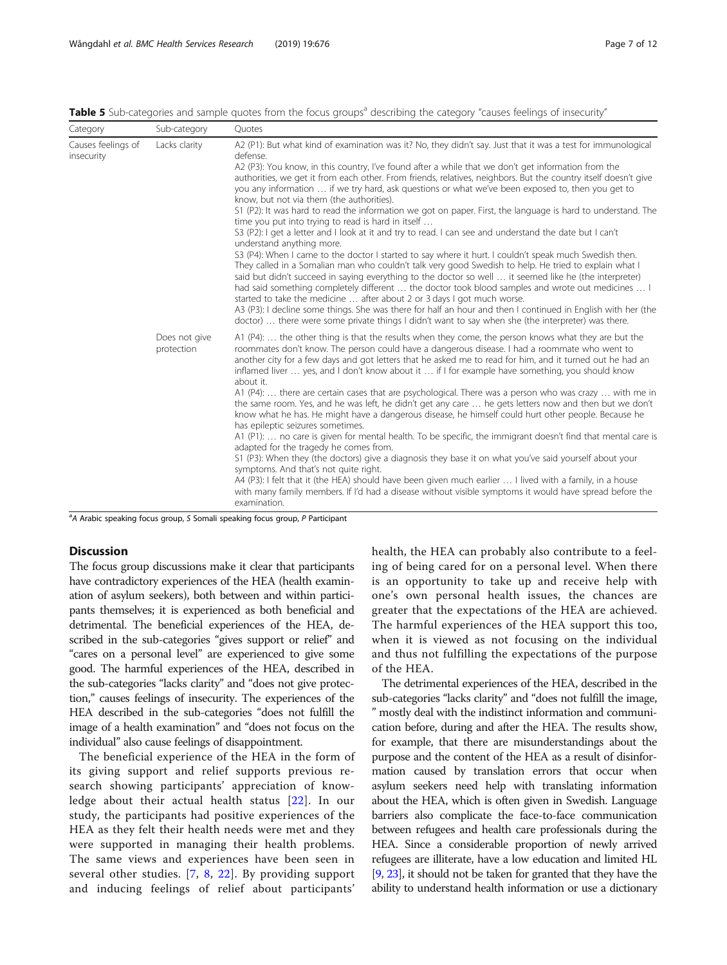<span id="page-6-0"></span>Table 5 Sub-categories and sample quotes from the focus groups<sup>a</sup> describing the category "causes feelings of insecurity"

| Category                         | Sub-category                                              | Ouotes                                                                                                                                                                                                                                                                                                                                                                                                                                                                                                                                                                                                                                                                                                                                                                                                                                                                                                                                                                                                                                                                                                                                                                                                                                                                                                                                                                                                                                                                                                                                                |
|----------------------------------|-----------------------------------------------------------|-------------------------------------------------------------------------------------------------------------------------------------------------------------------------------------------------------------------------------------------------------------------------------------------------------------------------------------------------------------------------------------------------------------------------------------------------------------------------------------------------------------------------------------------------------------------------------------------------------------------------------------------------------------------------------------------------------------------------------------------------------------------------------------------------------------------------------------------------------------------------------------------------------------------------------------------------------------------------------------------------------------------------------------------------------------------------------------------------------------------------------------------------------------------------------------------------------------------------------------------------------------------------------------------------------------------------------------------------------------------------------------------------------------------------------------------------------------------------------------------------------------------------------------------------------|
| Causes feelings of<br>insecurity | Lacks clarity                                             | A2 (P1): But what kind of examination was it? No, they didn't say. Just that it was a test for immunological<br>defense.<br>A2 (P3): You know, in this country, I've found after a while that we don't get information from the<br>authorities, we get it from each other. From friends, relatives, neighbors. But the country itself doesn't give<br>you any information  if we try hard, ask questions or what we've been exposed to, then you get to<br>know, but not via them (the authorities).<br>S1 (P2): It was hard to read the information we got on paper. First, the language is hard to understand. The<br>time you put into trying to read is hard in itself<br>S3 (P2): I get a letter and I look at it and try to read. I can see and understand the date but I can't<br>understand anything more.<br>S3 (P4): When I came to the doctor I started to say where it hurt. I couldn't speak much Swedish then.<br>They called in a Somalian man who couldn't talk very good Swedish to help. He tried to explain what I<br>said but didn't succeed in saying everything to the doctor so well  it seemed like he (the interpreter)<br>had said something completely different  the doctor took blood samples and wrote out medicines  I<br>started to take the medicine  after about 2 or 3 days I got much worse.<br>A3 (P3): I decline some things. She was there for half an hour and then I continued in English with her (the<br>doctor) there were some private things I didn't want to say when she (the interpreter) was there. |
|                                  | Does not give<br>protection<br>an nucleis superintendence | A1 $(P4)$ :  the other thing is that the results when they come, the person knows what they are but the<br>roommates don't know. The person could have a dangerous disease. I had a roommate who went to<br>another city for a few days and got letters that he asked me to read for him, and it turned out he had an<br>inflamed liver  yes, and I don't know about it  if I for example have something, you should know<br>about it.<br>A1 (P4):  there are certain cases that are psychological. There was a person who was crazy  with me in<br>the same room. Yes, and he was left, he didn't get any care  he gets letters now and then but we don't<br>know what he has. He might have a dangerous disease, he himself could hurt other people. Because he<br>has epileptic seizures sometimes.<br>A1 (P1):  no care is given for mental health. To be specific, the immigrant doesn't find that mental care is<br>adapted for the tragedy he comes from.<br>S1 (P3): When they (the doctors) give a diagnosis they base it on what you've said yourself about your<br>symptoms. And that's not quite right.<br>A4 (P3): I felt that it (the HEA) should have been given much earlier  I lived with a family, in a house<br>with many family members. If I'd had a disease without visible symptoms it would have spread before the<br>examination.<br>C.C. said conclusion from provide D.D. of the con-                                                                                                                                      |

<sup>a</sup>A Arabic speaking focus group, S Somali speaking focus group, P Participant

## **Discussion**

The focus group discussions make it clear that participants have contradictory experiences of the HEA (health examination of asylum seekers), both between and within participants themselves; it is experienced as both beneficial and detrimental. The beneficial experiences of the HEA, described in the sub-categories "gives support or relief" and "cares on a personal level" are experienced to give some good. The harmful experiences of the HEA, described in the sub-categories "lacks clarity" and "does not give protection," causes feelings of insecurity. The experiences of the HEA described in the sub-categories "does not fulfill the image of a health examination" and "does not focus on the individual" also cause feelings of disappointment.

The beneficial experience of the HEA in the form of its giving support and relief supports previous research showing participants' appreciation of knowledge about their actual health status [[22](#page-11-0)]. In our study, the participants had positive experiences of the HEA as they felt their health needs were met and they were supported in managing their health problems. The same views and experiences have been seen in several other studies. [[7,](#page-10-0) [8](#page-10-0), [22\]](#page-11-0). By providing support and inducing feelings of relief about participants'

health, the HEA can probably also contribute to a feeling of being cared for on a personal level. When there is an opportunity to take up and receive help with one's own personal health issues, the chances are greater that the expectations of the HEA are achieved. The harmful experiences of the HEA support this too, when it is viewed as not focusing on the individual and thus not fulfilling the expectations of the purpose of the HEA.

The detrimental experiences of the HEA, described in the sub-categories "lacks clarity" and "does not fulfill the image, " mostly deal with the indistinct information and communication before, during and after the HEA. The results show, for example, that there are misunderstandings about the purpose and the content of the HEA as a result of disinformation caused by translation errors that occur when asylum seekers need help with translating information about the HEA, which is often given in Swedish. Language barriers also complicate the face-to-face communication between refugees and health care professionals during the HEA. Since a considerable proportion of newly arrived refugees are illiterate, have a low education and limited HL [[9](#page-10-0), [23](#page-11-0)], it should not be taken for granted that they have the ability to understand health information or use a dictionary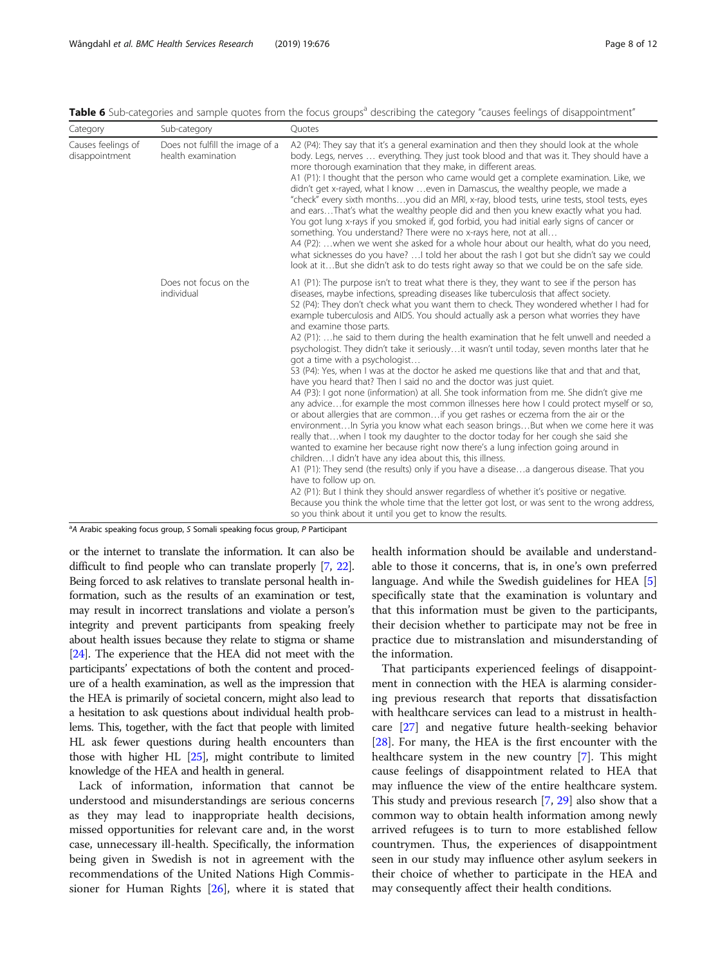<span id="page-7-0"></span>Table 6 Sub-categories and sample quotes from the focus groups<sup>a</sup> describing the category "causes feelings of disappointment"

| Category                             | Sub-category                                          | Quotes                                                                                                                                                                                                                                                                                                                                                                                                                                                                                                                                                                                                                                                                                                                                                                                                                                                                                                                                                                                                                                                                                                                                                                                                                                                                                                                                                                                                                                                                                                                                                                                                                                                                                                                                                                                   |
|--------------------------------------|-------------------------------------------------------|------------------------------------------------------------------------------------------------------------------------------------------------------------------------------------------------------------------------------------------------------------------------------------------------------------------------------------------------------------------------------------------------------------------------------------------------------------------------------------------------------------------------------------------------------------------------------------------------------------------------------------------------------------------------------------------------------------------------------------------------------------------------------------------------------------------------------------------------------------------------------------------------------------------------------------------------------------------------------------------------------------------------------------------------------------------------------------------------------------------------------------------------------------------------------------------------------------------------------------------------------------------------------------------------------------------------------------------------------------------------------------------------------------------------------------------------------------------------------------------------------------------------------------------------------------------------------------------------------------------------------------------------------------------------------------------------------------------------------------------------------------------------------------------|
| Causes feelings of<br>disappointment | Does not fulfill the image of a<br>health examination | A2 (P4): They say that it's a general examination and then they should look at the whole<br>body. Legs, nerves  everything. They just took blood and that was it. They should have a<br>more thorough examination that they make, in different areas.<br>A1 (P1): I thought that the person who came would get a complete examination. Like, we<br>didn't get x-rayed, what I know  even in Damascus, the wealthy people, we made a<br>"check" every sixth monthsyou did an MRI, x-ray, blood tests, urine tests, stool tests, eyes<br>and earsThat's what the wealthy people did and then you knew exactly what you had.<br>You got lung x-rays if you smoked if, god forbid, you had initial early signs of cancer or<br>something. You understand? There were no x-rays here, not at all<br>A4 (P2): when we went she asked for a whole hour about our health, what do you need,<br>what sicknesses do you have?  I told her about the rash I got but she didn't say we could<br>look at itBut she didn't ask to do tests right away so that we could be on the safe side.                                                                                                                                                                                                                                                                                                                                                                                                                                                                                                                                                                                                                                                                                                            |
|                                      | Does not focus on the<br>individual                   | A1 (P1): The purpose isn't to treat what there is they, they want to see if the person has<br>diseases, maybe infections, spreading diseases like tuberculosis that affect society.<br>S2 (P4): They don't check what you want them to check. They wondered whether I had for<br>example tuberculosis and AIDS. You should actually ask a person what worries they have<br>and examine those parts.<br>A2 (P1):  he said to them during the health examination that he felt unwell and needed a<br>psychologist. They didn't take it seriouslyit wasn't until today, seven months later that he<br>got a time with a psychologist<br>S3 (P4): Yes, when I was at the doctor he asked me questions like that and that and that,<br>have you heard that? Then I said no and the doctor was just quiet.<br>A4 (P3): I got none (information) at all. She took information from me. She didn't give me<br>any advicefor example the most common illnesses here how I could protect myself or so,<br>or about allergies that are commonif you get rashes or eczema from the air or the<br>environmentIn Syria you know what each season bringsBut when we come here it was<br>really thatwhen I took my daughter to the doctor today for her cough she said she<br>wanted to examine her because right now there's a lung infection going around in<br>children I didn't have any idea about this, this illness.<br>A1 (P1): They send (the results) only if you have a diseasea dangerous disease. That you<br>have to follow up on.<br>A2 (P1): But I think they should answer regardless of whether it's positive or negative.<br>Because you think the whole time that the letter got lost, or was sent to the wrong address,<br>so you think about it until you get to know the results. |

<sup>a</sup>A Arabic speaking focus group, S Somali speaking focus group, P Participant

or the internet to translate the information. It can also be difficult to find people who can translate properly [\[7](#page-10-0), [22](#page-11-0)]. Being forced to ask relatives to translate personal health information, such as the results of an examination or test, may result in incorrect translations and violate a person's integrity and prevent participants from speaking freely about health issues because they relate to stigma or shame [[24](#page-11-0)]. The experience that the HEA did not meet with the participants' expectations of both the content and procedure of a health examination, as well as the impression that the HEA is primarily of societal concern, might also lead to a hesitation to ask questions about individual health problems. This, together, with the fact that people with limited HL ask fewer questions during health encounters than those with higher HL [\[25\]](#page-11-0), might contribute to limited knowledge of the HEA and health in general.

Lack of information, information that cannot be understood and misunderstandings are serious concerns as they may lead to inappropriate health decisions, missed opportunities for relevant care and, in the worst case, unnecessary ill-health. Specifically, the information being given in Swedish is not in agreement with the recommendations of the United Nations High Commissioner for Human Rights [\[26\]](#page-11-0), where it is stated that health information should be available and understandable to those it concerns, that is, in one's own preferred language. And while the Swedish guidelines for HEA [\[5](#page-10-0)] specifically state that the examination is voluntary and that this information must be given to the participants, their decision whether to participate may not be free in practice due to mistranslation and misunderstanding of the information.

That participants experienced feelings of disappointment in connection with the HEA is alarming considering previous research that reports that dissatisfaction with healthcare services can lead to a mistrust in healthcare [\[27](#page-11-0)] and negative future health-seeking behavior [[28\]](#page-11-0). For many, the HEA is the first encounter with the healthcare system in the new country [\[7](#page-10-0)]. This might cause feelings of disappointment related to HEA that may influence the view of the entire healthcare system. This study and previous research [\[7](#page-10-0), [29](#page-11-0)] also show that a common way to obtain health information among newly arrived refugees is to turn to more established fellow countrymen. Thus, the experiences of disappointment seen in our study may influence other asylum seekers in their choice of whether to participate in the HEA and may consequently affect their health conditions.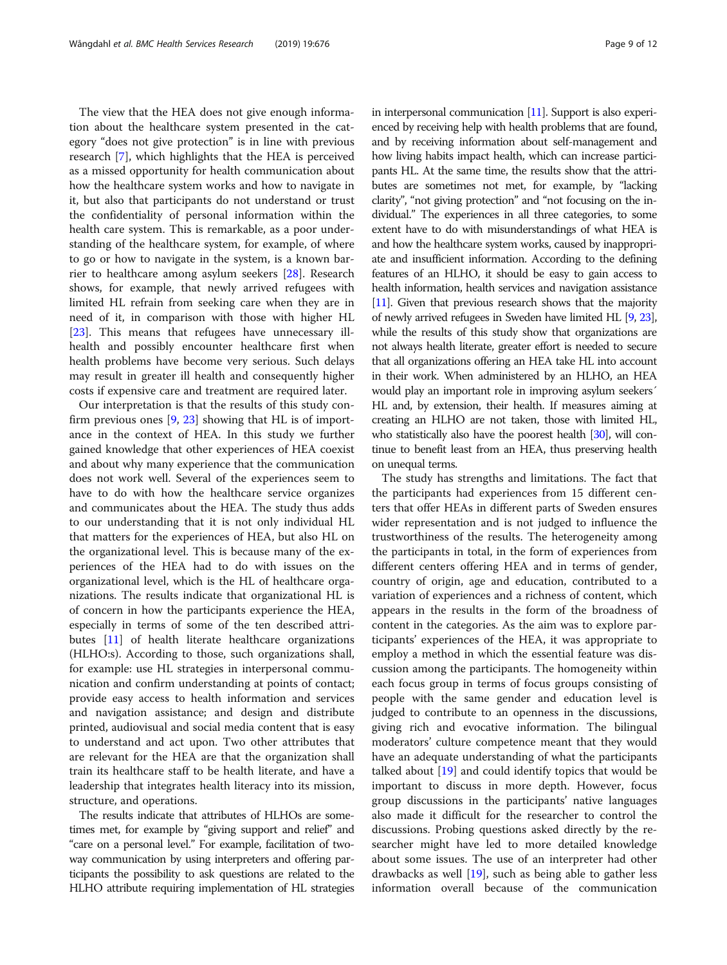The view that the HEA does not give enough information about the healthcare system presented in the category "does not give protection" is in line with previous research [\[7](#page-10-0)], which highlights that the HEA is perceived as a missed opportunity for health communication about how the healthcare system works and how to navigate in it, but also that participants do not understand or trust the confidentiality of personal information within the health care system. This is remarkable, as a poor understanding of the healthcare system, for example, of where to go or how to navigate in the system, is a known barrier to healthcare among asylum seekers [[28\]](#page-11-0). Research shows, for example, that newly arrived refugees with limited HL refrain from seeking care when they are in need of it, in comparison with those with higher HL [[23\]](#page-11-0). This means that refugees have unnecessary illhealth and possibly encounter healthcare first when health problems have become very serious. Such delays may result in greater ill health and consequently higher costs if expensive care and treatment are required later.

Our interpretation is that the results of this study confirm previous ones  $[9, 23]$  $[9, 23]$  $[9, 23]$  $[9, 23]$  showing that HL is of importance in the context of HEA. In this study we further gained knowledge that other experiences of HEA coexist and about why many experience that the communication does not work well. Several of the experiences seem to have to do with how the healthcare service organizes and communicates about the HEA. The study thus adds to our understanding that it is not only individual HL that matters for the experiences of HEA, but also HL on the organizational level. This is because many of the experiences of the HEA had to do with issues on the organizational level, which is the HL of healthcare organizations. The results indicate that organizational HL is of concern in how the participants experience the HEA, especially in terms of some of the ten described attributes [[11\]](#page-10-0) of health literate healthcare organizations (HLHO:s). According to those, such organizations shall, for example: use HL strategies in interpersonal communication and confirm understanding at points of contact; provide easy access to health information and services and navigation assistance; and design and distribute printed, audiovisual and social media content that is easy to understand and act upon. Two other attributes that are relevant for the HEA are that the organization shall train its healthcare staff to be health literate, and have a leadership that integrates health literacy into its mission, structure, and operations.

The results indicate that attributes of HLHOs are sometimes met, for example by "giving support and relief" and "care on a personal level." For example, facilitation of twoway communication by using interpreters and offering participants the possibility to ask questions are related to the HLHO attribute requiring implementation of HL strategies in interpersonal communication  $[11]$  $[11]$ . Support is also experienced by receiving help with health problems that are found, and by receiving information about self-management and how living habits impact health, which can increase participants HL. At the same time, the results show that the attributes are sometimes not met, for example, by "lacking clarity", "not giving protection" and "not focusing on the individual." The experiences in all three categories, to some extent have to do with misunderstandings of what HEA is and how the healthcare system works, caused by inappropriate and insufficient information. According to the defining features of an HLHO, it should be easy to gain access to health information, health services and navigation assistance [[11\]](#page-10-0). Given that previous research shows that the majority of newly arrived refugees in Sweden have limited HL [\[9,](#page-10-0) [23\]](#page-11-0), while the results of this study show that organizations are not always health literate, greater effort is needed to secure that all organizations offering an HEA take HL into account in their work. When administered by an HLHO, an HEA would play an important role in improving asylum seekers´ HL and, by extension, their health. If measures aiming at creating an HLHO are not taken, those with limited HL, who statistically also have the poorest health [\[30\]](#page-11-0), will continue to benefit least from an HEA, thus preserving health on unequal terms.

The study has strengths and limitations. The fact that the participants had experiences from 15 different centers that offer HEAs in different parts of Sweden ensures wider representation and is not judged to influence the trustworthiness of the results. The heterogeneity among the participants in total, in the form of experiences from different centers offering HEA and in terms of gender, country of origin, age and education, contributed to a variation of experiences and a richness of content, which appears in the results in the form of the broadness of content in the categories. As the aim was to explore participants' experiences of the HEA, it was appropriate to employ a method in which the essential feature was discussion among the participants. The homogeneity within each focus group in terms of focus groups consisting of people with the same gender and education level is judged to contribute to an openness in the discussions, giving rich and evocative information. The bilingual moderators' culture competence meant that they would have an adequate understanding of what the participants talked about  $[19]$  $[19]$  $[19]$  and could identify topics that would be important to discuss in more depth. However, focus group discussions in the participants' native languages also made it difficult for the researcher to control the discussions. Probing questions asked directly by the researcher might have led to more detailed knowledge about some issues. The use of an interpreter had other drawbacks as well [\[19](#page-11-0)], such as being able to gather less information overall because of the communication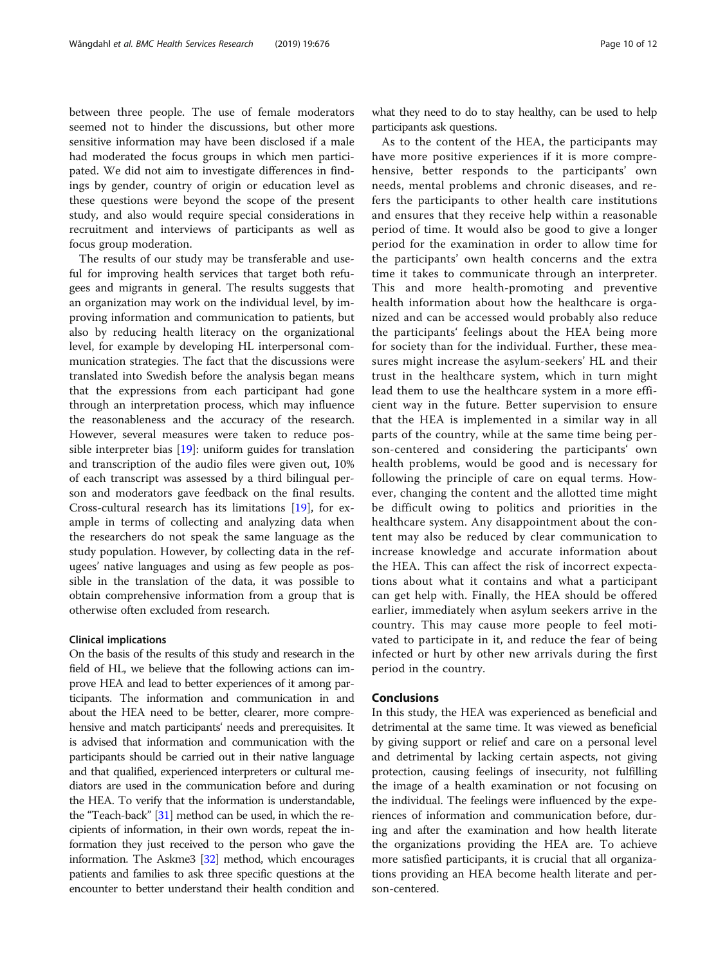between three people. The use of female moderators seemed not to hinder the discussions, but other more sensitive information may have been disclosed if a male had moderated the focus groups in which men participated. We did not aim to investigate differences in findings by gender, country of origin or education level as these questions were beyond the scope of the present study, and also would require special considerations in recruitment and interviews of participants as well as focus group moderation.

The results of our study may be transferable and useful for improving health services that target both refugees and migrants in general. The results suggests that an organization may work on the individual level, by improving information and communication to patients, but also by reducing health literacy on the organizational level, for example by developing HL interpersonal communication strategies. The fact that the discussions were translated into Swedish before the analysis began means that the expressions from each participant had gone through an interpretation process, which may influence the reasonableness and the accuracy of the research. However, several measures were taken to reduce possible interpreter bias [[19\]](#page-11-0): uniform guides for translation and transcription of the audio files were given out, 10% of each transcript was assessed by a third bilingual person and moderators gave feedback on the final results. Cross-cultural research has its limitations [[19](#page-11-0)], for example in terms of collecting and analyzing data when the researchers do not speak the same language as the study population. However, by collecting data in the refugees' native languages and using as few people as possible in the translation of the data, it was possible to obtain comprehensive information from a group that is otherwise often excluded from research.

## Clinical implications

On the basis of the results of this study and research in the field of HL, we believe that the following actions can improve HEA and lead to better experiences of it among participants. The information and communication in and about the HEA need to be better, clearer, more comprehensive and match participants' needs and prerequisites. It is advised that information and communication with the participants should be carried out in their native language and that qualified, experienced interpreters or cultural mediators are used in the communication before and during the HEA. To verify that the information is understandable, the "Teach-back" [[31](#page-11-0)] method can be used, in which the recipients of information, in their own words, repeat the information they just received to the person who gave the information. The Askme3 [\[32\]](#page-11-0) method, which encourages patients and families to ask three specific questions at the encounter to better understand their health condition and what they need to do to stay healthy, can be used to help participants ask questions.

As to the content of the HEA, the participants may have more positive experiences if it is more comprehensive, better responds to the participants' own needs, mental problems and chronic diseases, and refers the participants to other health care institutions and ensures that they receive help within a reasonable period of time. It would also be good to give a longer period for the examination in order to allow time for the participants' own health concerns and the extra time it takes to communicate through an interpreter. This and more health-promoting and preventive health information about how the healthcare is organized and can be accessed would probably also reduce the participants' feelings about the HEA being more for society than for the individual. Further, these measures might increase the asylum-seekers' HL and their trust in the healthcare system, which in turn might lead them to use the healthcare system in a more efficient way in the future. Better supervision to ensure that the HEA is implemented in a similar way in all parts of the country, while at the same time being person-centered and considering the participants' own health problems, would be good and is necessary for following the principle of care on equal terms. However, changing the content and the allotted time might be difficult owing to politics and priorities in the healthcare system. Any disappointment about the content may also be reduced by clear communication to increase knowledge and accurate information about the HEA. This can affect the risk of incorrect expectations about what it contains and what a participant can get help with. Finally, the HEA should be offered earlier, immediately when asylum seekers arrive in the country. This may cause more people to feel motivated to participate in it, and reduce the fear of being infected or hurt by other new arrivals during the first period in the country.

## Conclusions

In this study, the HEA was experienced as beneficial and detrimental at the same time. It was viewed as beneficial by giving support or relief and care on a personal level and detrimental by lacking certain aspects, not giving protection, causing feelings of insecurity, not fulfilling the image of a health examination or not focusing on the individual. The feelings were influenced by the experiences of information and communication before, during and after the examination and how health literate the organizations providing the HEA are. To achieve more satisfied participants, it is crucial that all organizations providing an HEA become health literate and person-centered.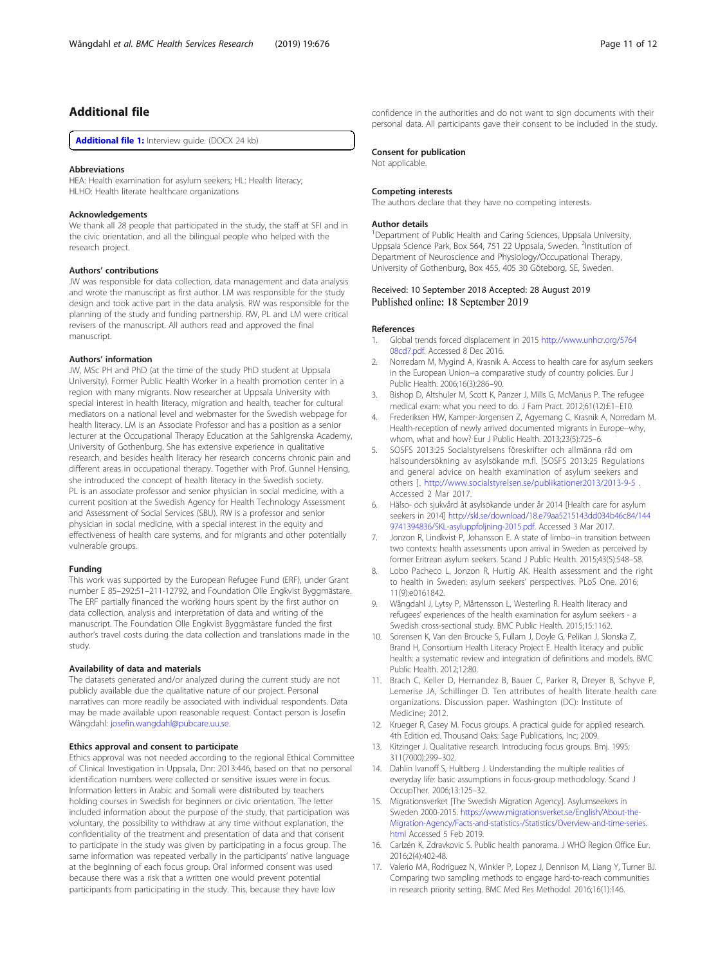## <span id="page-10-0"></span>Additional file

[Additional file 1:](https://doi.org/10.1186/s12913-019-4484-4) Interview guide. (DOCX 24 kb)

## Abbreviations

HEA: Health examination for asylum seekers: HL: Health literacy: HLHO: Health literate healthcare organizations

#### Acknowledgements

We thank all 28 people that participated in the study, the staff at SFI and in the civic orientation, and all the bilingual people who helped with the research project.

#### Authors' contributions

JW was responsible for data collection, data management and data analysis and wrote the manuscript as first author. LM was responsible for the study design and took active part in the data analysis. RW was responsible for the planning of the study and funding partnership. RW, PL and LM were critical revisers of the manuscript. All authors read and approved the final manuscript.

#### Authors' information

JW, MSc PH and PhD (at the time of the study PhD student at Uppsala University). Former Public Health Worker in a health promotion center in a region with many migrants. Now researcher at Uppsala University with special interest in health literacy, migration and health, teacher for cultural mediators on a national level and webmaster for the Swedish webpage for health literacy. LM is an Associate Professor and has a position as a senior lecturer at the Occupational Therapy Education at the Sahlgrenska Academy, University of Gothenburg. She has extensive experience in qualitative research, and besides health literacy her research concerns chronic pain and different areas in occupational therapy. Together with Prof. Gunnel Hensing, she introduced the concept of health literacy in the Swedish society. PL is an associate professor and senior physician in social medicine, with a current position at the Swedish Agency for Health Technology Assessment and Assessment of Social Services (SBU). RW is a professor and senior physician in social medicine, with a special interest in the equity and effectiveness of health care systems, and for migrants and other potentially vulnerable groups.

### Funding

This work was supported by the European Refugee Fund (ERF), under Grant number E 85–292:51–211-12792, and Foundation Olle Engkvist Byggmästare. The ERF partially financed the working hours spent by the first author on data collection, analysis and interpretation of data and writing of the manuscript. The Foundation Olle Engkvist Byggmästare funded the first author's travel costs during the data collection and translations made in the study.

#### Availability of data and materials

The datasets generated and/or analyzed during the current study are not publicly available due the qualitative nature of our project. Personal narratives can more readily be associated with individual respondents. Data may be made available upon reasonable request. Contact person is Josefin Wångdahl: [josefin.wangdahl@pubcare.uu.se.](mailto:josefin.wangdahl@pubcare.uu.se)

## Ethics approval and consent to participate

Ethics approval was not needed according to the regional Ethical Committee of Clinical Investigation in Uppsala, Dnr: 2013:446, based on that no personal identification numbers were collected or sensitive issues were in focus. Information letters in Arabic and Somali were distributed by teachers holding courses in Swedish for beginners or civic orientation. The letter included information about the purpose of the study, that participation was voluntary, the possibility to withdraw at any time without explanation, the confidentiality of the treatment and presentation of data and that consent to participate in the study was given by participating in a focus group. The same information was repeated verbally in the participants' native language at the beginning of each focus group. Oral informed consent was used because there was a risk that a written one would prevent potential participants from participating in the study. This, because they have low

confidence in the authorities and do not want to sign documents with their personal data. All participants gave their consent to be included in the study.

## Consent for publication

Not applicable.

#### Competing interests

The authors declare that they have no competing interests.

#### Author details

<sup>1</sup>Department of Public Health and Caring Sciences, Uppsala University Uppsala Science Park, Box 564, 751 22 Uppsala, Sweden. <sup>2</sup>Institution of Department of Neuroscience and Physiology/Occupational Therapy, University of Gothenburg, Box 455, 405 30 Göteborg, SE, Sweden.

## Received: 10 September 2018 Accepted: 28 August 2019 Published online: 18 September 2019

#### References

- 1. Global trends forced displacement in 2015 [http://www.unhcr.org/5764](http://www.unhcr.org/576408cd7.pdf) [08cd7.pdf.](http://www.unhcr.org/576408cd7.pdf) Accessed 8 Dec 2016.
- 2. Norredam M, Mygind A, Krasnik A. Access to health care for asylum seekers in the European Union--a comparative study of country policies. Eur J Public Health. 2006;16(3):286–90.
- 3. Bishop D, Altshuler M, Scott K, Panzer J, Mills G, McManus P. The refugee medical exam: what you need to do. J Fam Pract. 2012;61(12):E1–E10.
- 4. Frederiksen HW, Kamper-Jorgensen Z, Agyemang C, Krasnik A, Norredam M. Health-reception of newly arrived documented migrants in Europe--why, whom, what and how? Eur J Public Health. 2013;23(5):725–6.
- 5. SOSFS 2013:25 Socialstyrelsens föreskrifter och allmänna råd om hälsoundersökning av asylsökande m.fl. [SOSFS 2013:25 Regulations and general advice on health examination of asylum seekers and others ]. <http://www.socialstyrelsen.se/publikationer2013/2013-9-5> . Accessed 2 Mar 2017.
- 6. Hälso- och sjukvård åt asylsökande under år 2014 [Health care for asylum seekers in 2014] [http://skl.se/download/18.e79aa5215143dd034b46c84/144](http://skl.se/download/18.e79aa5215143dd034b46c84/1449741394836/SKL-asyluppfoljning-2015.pdf) [9741394836/SKL-asyluppfoljning-2015.pdf](http://skl.se/download/18.e79aa5215143dd034b46c84/1449741394836/SKL-asyluppfoljning-2015.pdf). Accessed 3 Mar 2017.
- 7. Jonzon R, Lindkvist P, Johansson E. A state of limbo--in transition between two contexts: health assessments upon arrival in Sweden as perceived by former Eritrean asylum seekers. Scand J Public Health. 2015;43(5):548–58.
- Lobo Pacheco L, Jonzon R, Hurtig AK. Health assessment and the right to health in Sweden: asylum seekers' perspectives. PLoS One. 2016; 11(9):e0161842.
- 9. Wångdahl J, Lytsy P, Mårtensson L, Westerling R. Health literacy and refugees' experiences of the health examination for asylum seekers - a Swedish cross-sectional study. BMC Public Health. 2015;15:1162.
- 10. Sorensen K, Van den Broucke S, Fullam J, Doyle G, Pelikan J, Slonska Z, Brand H, Consortium Health Literacy Project E. Health literacy and public health: a systematic review and integration of definitions and models. BMC Public Health. 2012;12:80.
- 11. Brach C, Keller D, Hernandez B, Bauer C, Parker R, Dreyer B, Schyve P, Lemerise JA, Schillinger D. Ten attributes of health literate health care organizations. Discussion paper. Washington (DC): Institute of Medicine; 2012.
- 12. Krueger R, Casey M. Focus groups. A practical guide for applied research. 4th Edition ed. Thousand Oaks: Sage Publications, Inc; 2009.
- 13. Kitzinger J. Qualitative research. Introducing focus groups. Bmj. 1995; 311(7000):299–302.
- 14. Dahlin Ivanoff S, Hultberg J. Understanding the multiple realities of everyday life: basic assumptions in focus-group methodology. Scand J OccupTher. 2006;13:125–32.
- 15. Migrationsverket [The Swedish Migration Agency]. Asylumseekers in Sweden 2000-2015. [https://www.migrationsverket.se/English/About-the-](https://www.migrationsverket.se/English/About-the-Migration-Agency/Facts-and-statistics-/Statistics/Overview-and-time-series.html)[Migration-Agency/Facts-and-statistics-/Statistics/Overview-and-time-series.](https://www.migrationsverket.se/English/About-the-Migration-Agency/Facts-and-statistics-/Statistics/Overview-and-time-series.html) [html](https://www.migrationsverket.se/English/About-the-Migration-Agency/Facts-and-statistics-/Statistics/Overview-and-time-series.html) Accessed 5 Feb 2019.
- 16. Carlzén K, Zdravkovic S. Public health panorama. J WHO Region Office Eur. 2016;2(4):402-48.
- 17. Valerio MA, Rodriguez N, Winkler P, Lopez J, Dennison M, Liang Y, Turner BJ. Comparing two sampling methods to engage hard-to-reach communities in research priority setting. BMC Med Res Methodol. 2016;16(1):146.